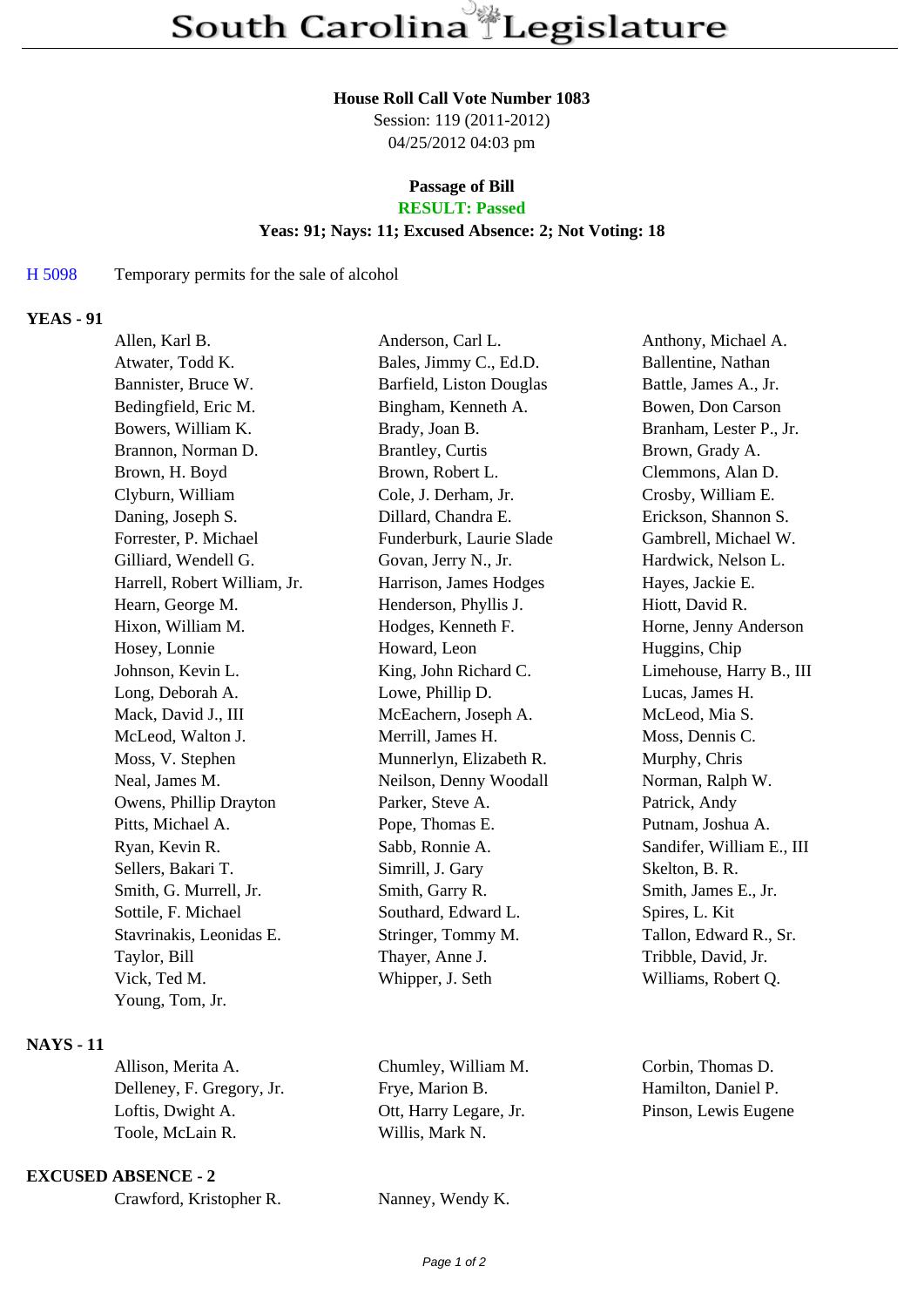#### **House Roll Call Vote Number 1083**

Session: 119 (2011-2012) 04/25/2012 04:03 pm

### **Passage of Bill RESULT: Passed**

# **Yeas: 91; Nays: 11; Excused Absence: 2; Not Voting: 18**

### H 5098 Temporary permits for the sale of alcohol

### **YEAS - 91**

| Allen, Karl B.               | Anderson, Carl L.        | Anthony, Michael A.       |
|------------------------------|--------------------------|---------------------------|
| Atwater, Todd K.             | Bales, Jimmy C., Ed.D.   | Ballentine, Nathan        |
| Bannister, Bruce W.          | Barfield, Liston Douglas | Battle, James A., Jr.     |
| Bedingfield, Eric M.         | Bingham, Kenneth A.      | Bowen, Don Carson         |
| Bowers, William K.           | Brady, Joan B.           | Branham, Lester P., Jr.   |
| Brannon, Norman D.           | Brantley, Curtis         | Brown, Grady A.           |
| Brown, H. Boyd               | Brown, Robert L.         | Clemmons, Alan D.         |
| Clyburn, William             | Cole, J. Derham, Jr.     | Crosby, William E.        |
| Daning, Joseph S.            | Dillard, Chandra E.      | Erickson, Shannon S.      |
| Forrester, P. Michael        | Funderburk, Laurie Slade | Gambrell, Michael W.      |
| Gilliard, Wendell G.         | Govan, Jerry N., Jr.     | Hardwick, Nelson L.       |
| Harrell, Robert William, Jr. | Harrison, James Hodges   | Hayes, Jackie E.          |
| Hearn, George M.             | Henderson, Phyllis J.    | Hiott, David R.           |
| Hixon, William M.            | Hodges, Kenneth F.       | Horne, Jenny Anderson     |
| Hosey, Lonnie                | Howard, Leon             | Huggins, Chip             |
| Johnson, Kevin L.            | King, John Richard C.    | Limehouse, Harry B., III  |
| Long, Deborah A.             | Lowe, Phillip D.         | Lucas, James H.           |
| Mack, David J., III          | McEachern, Joseph A.     | McLeod, Mia S.            |
| McLeod, Walton J.            | Merrill, James H.        | Moss, Dennis C.           |
| Moss, V. Stephen             | Munnerlyn, Elizabeth R.  | Murphy, Chris             |
| Neal, James M.               | Neilson, Denny Woodall   | Norman, Ralph W.          |
| Owens, Phillip Drayton       | Parker, Steve A.         | Patrick, Andy             |
| Pitts, Michael A.            | Pope, Thomas E.          | Putnam, Joshua A.         |
| Ryan, Kevin R.               | Sabb, Ronnie A.          | Sandifer, William E., III |
| Sellers, Bakari T.           | Simrill, J. Gary         | Skelton, B. R.            |
| Smith, G. Murrell, Jr.       | Smith, Garry R.          | Smith, James E., Jr.      |
| Sottile, F. Michael          | Southard, Edward L.      | Spires, L. Kit            |
| Stavrinakis, Leonidas E.     | Stringer, Tommy M.       | Tallon, Edward R., Sr.    |
| Taylor, Bill                 | Thayer, Anne J.          | Tribble, David, Jr.       |
| Vick, Ted M.                 | Whipper, J. Seth         | Williams, Robert Q.       |
| Young, Tom, Jr.              |                          |                           |
|                              |                          |                           |

# **NAYS - 11**

| Allison, Merita A.        | Chumley, William M.    | Corb  |
|---------------------------|------------------------|-------|
| Delleney, F. Gregory, Jr. | Frye, Marion B.        | Ham   |
| Loftis, Dwight A.         | Ott, Harry Legare, Jr. | Pinse |
| Toole, McLain R.          | Willis. Mark N.        |       |
|                           |                        |       |

### **EXCUSED ABSENCE - 2**

Nanney, Wendy K.

vin, Thomas D. ilton, Daniel P. on, Lewis Eugene